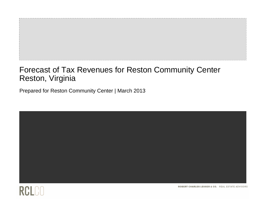# Forecast of Tax Revenues for Reston Community Center Reston, Virginia

Prepared for Reston Community Center | March 2013





ROBERT CHARLES LESSER & CO. REAL ESTATE ADVISORS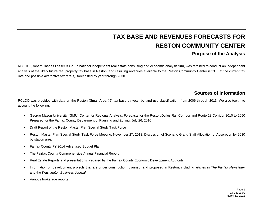# **TAX BASE AND REVENUES FORECASTS FOR RESTON COMMUNITY CENTER**

# **Purpose of the Analysis**

RCLCO (Robert Charles Lesser & Co), a national independent real estate consulting and economic analysis firm, was retained to conduct an independent analysis of the likely future real property tax base in Reston, and resulting revenues available to the Reston Community Center (RCC), at the current tax rate and possible alternative tax rate(s), forecasted by year through 2030.

# **Sources of Information**

RCLCO was provided with data on the Reston (Small Area #5) tax base by year, by land use classification, from 2006 through 2013. We also took into account the following:

- George Mason University (GMU) Center for Regional Analysis, Forecasts for the Reston/Dulles Rail Corridor and Route 28 Corridor 2010 to 2050 Prepared for the Fairfax County Department of Planning and Zoning, July 26, 2010
- $\bullet$ Draft Report of the Reston Master Plan Special Study Task Force
- $\bullet$  Reston Master Plan Special Study Task Force Meeting, November 27, 2012, Discussion of Scenario G and Staff Allocation of Absorption by 2030 by station area
- $\bullet$ Fairfax County FY 2014 Advertised Budget Plan
- c The Fairfax County Comprehensive Annual Financial Report
- c Real Estate Reports and presentations prepared by the Fairfax County Economic Development Authority
- c Information on development projects that are under construction, planned, and proposed in Reston, including articles in *The Fairfax Newsletter*  and the *Washington Business Journal*
- c Various brokerage reports

Page 1 E4-13111.00 March 11, 2013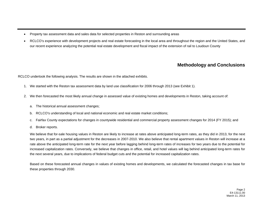- Property tax assessment data and sales data for selected properties in Reston and surrounding areas
- RCLCO's experience with development projects and real estate forecasting in the local area and throughout the region and the United States, and our recent experience analyzing the potential real estate development and fiscal impact of the extension of rail to Loudoun County

# **Methodology and Conclusions**

RCLCO undertook the following analysis. The results are shown in the attached exhibits.

- 1. We started with the Reston tax assessment data by land use classification for 2006 through 2013 (see Exhibit 1).
- 2. We then forecasted the most likely annual change in assessed value of existing homes and developments in Reston, taking account of:
	- a. The historical annual assessment changes;
	- b. RCLCO's understanding of local and national economic and real estate market conditions;
	- c. Fairfax County expectations for changes in countywide residential and commercial property assessment changes for 2014 (FY 2015); and
	- d. Broker reports.

We believe that for-sale housing values in Reston are likely to increase at rates above anticipated long-term rates, as they did in 2013, for the next two years, in part as a partial adjustment for the decreases in 2007-2010. We also believe that rental apartment values in Reston will increase at a rate above the anticipated long-term rate for the next year before lagging behind long-term rates of increases for two years due to the potential for increased capitalization rates. Conversely, we believe that changes in office, retail, and hotel values will lag behind anticipated long-term rates for the next several years, due to implications of federal budget cuts and the potential for increased capitalization rates.

Based on these forecasted annual changes in values of existing homes and developments, we calculated the forecasted changes in tax base for these properties through 2030.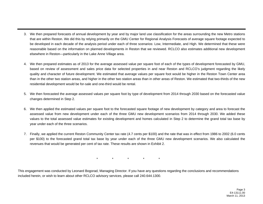- 3. We then prepared forecasts of annual development by year and by major land use classification for the areas surrounding the new Metro stations that are within Reston. We did this by relying primarily on the GMU Center for Regional Analysis Forecasts of average square footage expected to be developed in each decade of the analysis period under each of three scenarios: Low, Intermediate, and High. We determined that these were reasonable based on the information on planned developments in Reston that we reviewed. RCLCO also estimates additional new development elsewhere in Reston—particularly in the Lake Anne Village area.
- 4. We then prepared estimates as of 2013 for the average assessed value per square foot of each of the types of development forecasted by GMU, based on review of assessment and sales price data for selected properties in and near Reston and RCLCO's judgment regarding the likely quality and character of future development. We estimated that average values per square foot would be higher in the Reston Town Center area than in the other two station areas, and higher in the other two station areas than in other areas of Reston. We estimated that two-thirds of the new residential development would be for-sale and one-third would be rental.
- 5. We then forecasted the average assessed values per square foot by type of development from 2014 through 2030 based on the forecasted value changes determined in Step 2.
- 6. We then applied the estimated values per square foot to the forecasted square footage of new development by category and area to forecast the assessed value from new development under each of the three GMU new development scenarios from 2014 through 2030. We added these values to the total assessed value estimates for existing development and homes calculated in Step 2 to determine the grand total tax base by year under each of the three scenarios.
- 7. Finally, we applied the current Reston Community Center tax rate (4.7 cents per \$100) and the rate that was in effect from 1986 to 2002 (6.0 cents per \$100) to the forecasted grand total tax base by year under each of the three GMU new development scenarios. We also calculated the revenues that would be generated per cent of tax rate. These results are shown in Exhibit 2.

\*\* \* \* \*

This engagement was conducted by Leonard Bogorad, Managing Director. If you have any questions regarding the conclusions and recommendations included herein, or wish to learn about other RCLCO advisory services, please call 240.644.1300.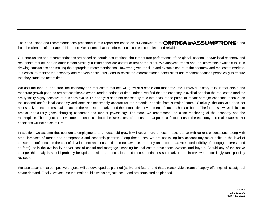The conclusions and recommendations presented in this report are based on our analysis of the **CRATIOAL** about about the CRATIONS's and from the client as of the date of this report. We assume that the information is correct, complete, and reliable.

Our conclusions and recommendations are based on certain assumptions about the future performance of the global, national, and/or local economy and real estate market, and on other factors similarly outside either our control or that of the client. We analyzed trends and the information available to us in drawing conclusions and making the appropriate recommendations. However, given the fluid and dynamic nature of the economy and real estate markets, it is critical to monitor the economy and markets continuously and to revisit the aforementioned conclusions and recommendations periodically to ensure that they stand the test of time.

We assume that, in the future, the economy and real estate markets will grow at a stable and moderate rate. However, history tells us that stable and moderate growth patterns are not sustainable over extended periods of time. Indeed, we find that the economy is cyclical and that the real estate markets are typically highly sensitive to business cycles. Our analysis does not necessarily take into account the potential impact of major economic "shocks" on the national and/or local economy and does not necessarily account for the potential benefits from a major "boom." Similarly, the analysis does not necessarily reflect the residual impact on the real estate market and the competitive environment of such a shock or boom. The future is always difficult to predict, particularly given changing consumer and market psychology. Therefore, we recommend the close monitoring of the economy and the marketplace. The project and investment economics should be "stress tested" to ensure that potential fluctuations in the economy and real estate market conditions will not cause failure.

In addition, we assume that economic, employment, and household growth will occur more or less in accordance with current expectations, along with other forecasts of trends and demographic and economic patterns. Along these lines, we are not taking into account any major shifts in the level of consumer confidence; in the cost of development and construction; in tax laws (i.e., property and income tax rates, deductibility of mortgage interest, and so forth); or in the availability and/or cost of capital and mortgage financing for real estate developers, owners, and buyers. Should any of the above change, this analysis should probably be updated, with the conclusions and recommendations summarized herein reviewed accordingly (and possibly revised).

We also assume that competitive projects will be developed as planned (active and future) and that a reasonable stream of supply offerings will satisfy real estate demand. Finally, we assume that major public works projects occur and are completed as planned.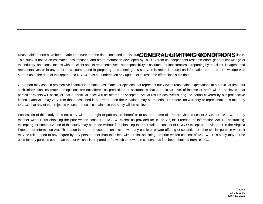Reasonable efforts have been made to ensure that the data contained in this stud GENERA and timeling and the CONDITIONS eliable. This study is based on estimates, assumptions, and other information developed by RCLCO from its independent research effort, general knowledge of the industry, and consultations with the client and its representatives. No responsibility is assumed for inaccuracies in reporting by the client, its agent, and representatives or in any other data source used in preparing or presenting this study. This report is based on information that to our knowledge was current as of the date of this report, and RCLCO has not undertaken any update of its research effort since such date.

Our report may contain prospective financial information, estimates, or opinions that represent our view of reasonable expectations at a particular time, but such information, estimates, or opinions are not offered as predictions or assurances that a particular level of income or profit will be achieved, that particular events will occur, or that a particular price will be offered or accepted. Actual results achieved during the period covered by our prospective financial analysis may vary from those described in our report, and the variations may be material. Therefore, no warranty or representation is made by RCLCO that any of the projected values or results contained in this study will be achieved.

Possession of this study does not carry with it the right of publication thereof or to use the name of "Robert Charles Lesser & Co." or "RCLCO" in any manner without first obtaining the prior written consent of RCLCO except as provided for in the Virginia Freedom of Information Act. No abstracting, excerpting, or summarization of this study may be made without first obtaining the prior written consent of RCLCO except as provided for in the Virginia Freedom of Information Act. This report is not to be used in conjunction with any public or private offering of securities or other similar purpose where it may be relied upon to any degree by any person other than the client without first obtaining the prior written consent of RCLCO. This study may not be used for any purpose other than that for which it is prepared or for which prior written consent has first been obtained from RCLCO.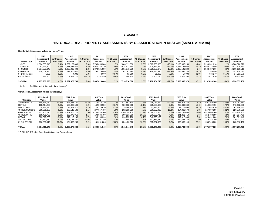## *Exhibit 1*

# **HISTORICAL REAL PROPERTY ASSESSMENTS BY CLASSIFICATION IN RESTON (SMALL AREA #5)**

#### **Residential Assessment Values by House Type:**

|                   | 2013          |             | 2012          |             | 2011              |             | 2010          |             | 2009          |             | 2008          |             | 2007          |           | 2006          |
|-------------------|---------------|-------------|---------------|-------------|-------------------|-------------|---------------|-------------|---------------|-------------|---------------|-------------|---------------|-----------|---------------|
|                   | Assessment    | % Change    | Assessment    | % Change    | <b>Assessment</b> | % Change    | Assessment    | % Change    | Assessment    | % Change    | Assessment    | % Change    | Assessment    | % Change  | Assessment    |
| <b>House Type</b> | Amount        | 2012 - 2013 | Amount        | 2011 - 2012 | Amount            | 2010 - 2011 | Amount        | 2009 - 2010 | Amount        | 2008 - 2009 | Amount        | 2007 - 2008 | Amount        | 2006-2007 | Amount        |
| - SFD             | 2.864.085.040 | 3.4%        | 2.769.189.890 | 2.3%        | 2.706.653.280     | 1.7%        | 2.660.111.080 | $-5.6%$     | 2.817.756.820 | $-10.1%$    | 3.133.862.250 | $-4.8%$     | 3.290.261.610 | $-11.1%$  | 3.700.326.970 |
| 2 - TH/DUP        | 3,092,625,200 | 4.1%        | 2.971.442.540 | $1.8\%$     | 2.920.333.770     | $3.0\%$     | 2.834.911.890 | $-2.4%$     | 2.904.324.660 | $-11.7%$    | 3.289.792.060 | $-5.1%$     | 3.465.123.640 | $-0.4%$   | 3.477.870.290 |
| 3 - CONDO         | 2,057,073,340 | 7.9%        | 1.906.032.600 | 1.8%        | 1.872.025.580     | $1.1\%$     | .851.071.290  | $-3.9%$     | 1.926.880.670 | $-17.2%$    | 2.328.521.280 | $-1.4%$     | 2.362.737.260 | 4.1%      | 2,269,180,310 |
| 4 - DIFF/SFD      | 179,508,980   | 4.1%        | 172.476.640   | 3.8%        | 166.229.840       | 2.5%        | 162.192.890   | 38.8%       | 116.884.820   | $-18.9%$    | 144.047.280   | 102.2%      | 71,255,050    | $-71.7%$  | 251.928.470   |
| 5 - DIFF/Acreag   | 4.000         | 0.0%        | 4.000         | 0.0%        | 4.000             | $-93.4%$    | 61.000        | 0.0%        | 61,000        | 7.0%        | 57.000        | $-91.0%$    | 634.170       | $-95.7%$  | 14,791,370    |
| 6 - Section 5     | 1,972,260     | 2.3%        | 1.927.110     | $-19.1%$    | 2,382,990         | $-3.4%$     | 2,466,230     | 9.3%        | 2,256,770     | $-32.2%$    | 3,328,100     | 17.7%       | 2.827.430     | $-58.1%$  | 6,755,720     |
|                   |               |             |               |             |                   |             |               |             |               |             |               |             |               |           |               |
| 9 - TOTAL         | 8,195,268,820 | 4.8%        | 7,821,072,780 | 2.0%        | 7,667,629,460     | 2.1%        | 7,510,814,380 | $-3.3%$     | 7,768,164,740 | $-12.7%$    | 8.899.607.970 | $-3.2%$     | 9,192,839,160 | $-5.4%$   | 9,720,853,130 |

\* 6 - Section 5 = MID's and AUD's (Affordable Housing)

#### **Commercial Assessment Values by Category:**

|                    | 2013 Total    |         | 2012 Total    |         | 2011 Total    |          | 2010 Total    |          | 2009 Total    |          | 2008 Total    |         | 2007 Total    |          | 2006 Total    |
|--------------------|---------------|---------|---------------|---------|---------------|----------|---------------|----------|---------------|----------|---------------|---------|---------------|----------|---------------|
| Category           | Value         |         | Value         |         | Value         |          | Value         |          | Value         |          | Value         |         | Value         |          | Value         |
| <b>APARTMENTS</b>  | 598.846.070   | 10.2%   | 543.563.450   | 14.2%   | 475.814.120   | 11.2%    | 427.867.110   | $-13.7%$ | 496.011.440   | $-22.1%$ | 636.975.320   | 7.7%    | 591.269.090   | 42.4%    | 415.087.650   |
| <b>HOTELS</b>      | 163.414.230   | $-1.6%$ | 166.080.500   | 2.2%    | 162.508.950   | 24.4%    | 130,602,960   | $-42.1%$ | 225.559.620   | $-2.9%$  | 232.360.880   | 10.6%   | 210.082.790   | 17.9%    | 178,132,980   |
| <b>INDUSTRIAL</b>  | 25.925.790    | 0.2%    | 25.873.870    | 9.1%    | 23.715.620    | $-7.3%$  | 25.596.120    | $-23.1%$ | 33.296.400    | $-1.4%$  | 33.777.600    | 22.1%   | 27.652.930    | $-55.3%$ | 61.856.660    |
| OFFICE CONDOS      | 280.061.260   | 0.0%    | 280.149.180   | 1.1%    | 277.057.730   | $-1.8%$  | 282.258.050   | $-4.7%$  | 296.037.920   | 16.2%    | 254.866.570   | 2.8%    | 247.899.380   | 12.2%    | 220,979,680   |
| OFFICE ELEV        | 3.307.157.010 | $-1.3%$ | 3.351.075.220 | 6.9%    | 3.135.538.700 | $-1.6%$  | 3.186.109.700 | $-21.9%$ | 4.078.504.560 | 1.0%     | 4.038.261.060 | 13.0%   | 3.574.660.760 | 14.7%    | 3.115.939.950 |
| OFFICE OTHER       | 188,408,730   | $-3.9%$ | 195.979.010   | 1.5%    | 193.084.790   | $-3.0%$  | 199.123.300   | $-20.7%$ | 250.999.710   | 4.0%     | 241.261.410   | $-0.5%$ | 242.488.850   | 6.5%     | 227.614.450   |
| <b>RETAIL</b>      | 302.317.780   | $-3.1%$ | 312.112.230   | 4.7%    | 298.168.320   | 2.6%     | 290.735.700   | $-16.7%$ | 348.993.100   | 0.3%     | 347.912.630   | 7.5%    | 323.491.000   | 7.3%     | 301.561.440   |
| <b>VACANT LAND</b> | 281.747.160   | $-4.9%$ | 296.188.320   | 12.9%   | 262.391.780   | 7.3%     | 244.649.480   | $-21.8%$ | 312.683.450   | $-3.0%$  | 322.338.480   | 0.9%    | 319.383.700   | $-3.4%$  | 330,731,420   |
| Z ALL OTHER        | 186.838.110   | 13.6%   | 164.456.250   | $-9.2%$ | 181.081.830   | $-28.8%$ | 254.402.520   | $-19.5%$ | 315.957.020   | 3.2%     | 306.035.140   | 28.2%   | 238.748.820   | $-10.2%$ | 265.813.190   |
|                    |               |         |               |         |               |          |               |          |               |          |               |         |               |          |               |
| TOTAL              | 5.334.716.140 | 0.0%    | 5.335.478.030 | 6.5%    | 5.009.361.840 | $-0.6%$  | 5.041.344.940 | $-20.7%$ | 6.358.043.220 | $-0.9%$  | 6.413.789.090 | 11.0%   | 5.775.677.320 | 12.9%    | 5.117.717.420 |

\* Z\_ALL OTHER = fast food, Gas Stations and Repair shops.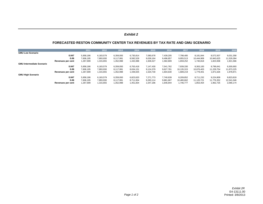## *Exhibit 2*

## **FORECASTED RESTON COMMUNITY CENTER TAX REVENUES BY TAX RATE AND GMU SCENARIO**

|                                  |                   | 2011      | 2012      | 2013      | 2014      | 2015      | 2016      | 2017       | 2018       | 2019       | 2020       |
|----------------------------------|-------------------|-----------|-----------|-----------|-----------|-----------|-----------|------------|------------|------------|------------|
| <b>GMU Low Scenario</b>          |                   |           |           |           |           |           |           |            |            |            |            |
|                                  | 0.047             | 5,958,186 | 6,183,579 | 6,359,093 | 6,730,814 | 7,080,678 | 7,439,205 | 7,798,485  | 8,181,844  | 8,572,507  | 9,031,358  |
|                                  | 0.06              | 7,606,195 | 7,893,930 | 8,117,991 | 8,592,529 | 9,039,164 | 9,496,857 | 9,955,513  | 10,444,908 | 10,943,625 | 11,529,394 |
|                                  | Revenues per cent | 1,267,699 | 1,315,655 | 1,352,998 | 1,432,088 | 1,506,527 | 1,582,809 | 1,659,252  | 1,740,818  | 1,823,938  | 1,921,566  |
| <b>GMU Intermediate Scenario</b> |                   |           |           |           |           |           |           |            |            |            |            |
|                                  | 0.047             | 5,958,186 | 6,183,579 | 6,359,093 | 6,763,418 | 7,147,430 | 7,541,762 | 7,939,330  | 8,363,183  | 8,796,641  | 9,300,693  |
|                                  | 0.06              | 7,606,195 | 7,893,930 | 8,117,991 | 8,634,151 | 9,124,379 | 9,627,781 | 10,135,315 | 10,676,403 | 11,229,754 | 11,873,225 |
|                                  | Revenues per cent | 1,267,699 | 1,315,655 | 1,352,998 | 1,439,025 | 1,520,730 | 1,604,630 | 1,689,219  | 1,779,401  | 1,871,626  | 1,978,871  |
| <b>GMU High Scenario</b>         |                   |           |           |           |           |           |           |            |            |            |            |
|                                  | 0.047             | 5,958,186 | 6,183,579 | 6,359,093 | 6,823,620 | 7,271,773 | 7,740,639 | 8,209,852  | 8,711,232  | 9,224,809  | 9,823,819  |
|                                  | 0.06              | 7,606,195 | 7,893,930 | 8.117.991 | 8,711,004 | 9,283,114 | 9,881,667 | 10,480,662 | 11,120,721 | 11,776,352 | 12,541,046 |
|                                  | Revenues per cent | 1,267,699 | 1.315.655 | 1,352,998 | 1.451.834 | 1,547,186 | 1.646.944 | 1.746.777  | 1.853.454  | 1,962,725  | 2,090,174  |